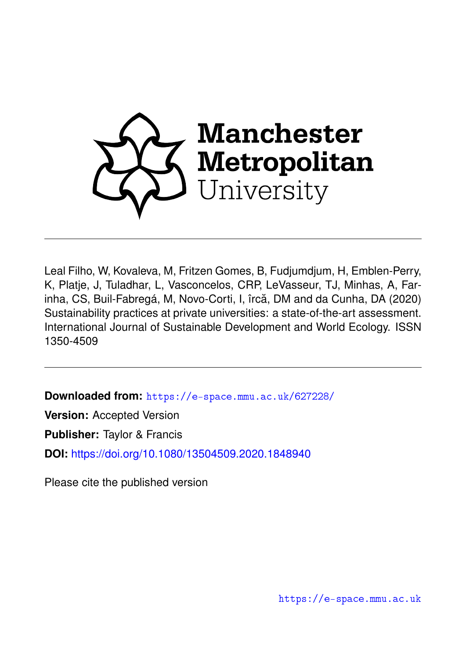

Leal Filho, W, Kovaleva, M, Fritzen Gomes, B, Fudjumdjum, H, Emblen-Perry, K, Platje, J, Tuladhar, L, Vasconcelos, CRP, LeVasseur, TJ, Minhas, A, Farinha, CS, Buil-Fabregá, M, Novo-Corti, I, îrcă, DM and da Cunha, DA (2020) Sustainability practices at private universities: a state-of-the-art assessment. International Journal of Sustainable Development and World Ecology. ISSN 1350-4509

**Downloaded from:** <https://e-space.mmu.ac.uk/627228/>

**Version:** Accepted Version

**Publisher:** Taylor & Francis

**DOI:** <https://doi.org/10.1080/13504509.2020.1848940>

Please cite the published version

<https://e-space.mmu.ac.uk>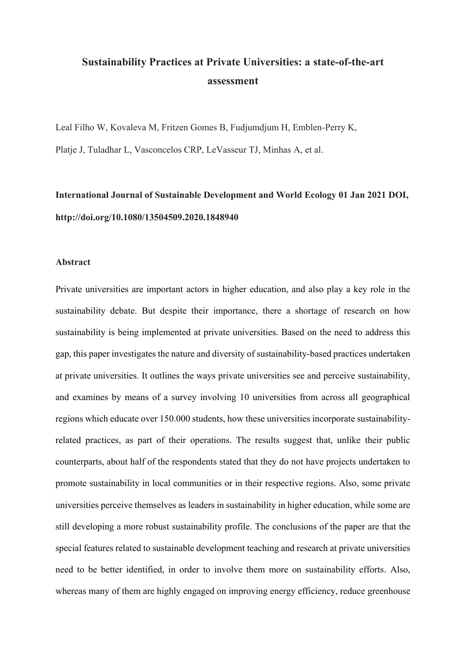# **Sustainability Practices at Private Universities: a state-of-the-art assessment**

Leal Filho W, Kovaleva M, Fritzen Gomes B, Fudjumdjum H, Emblen-Perry K,

Platje J, Tuladhar L, Vasconcelos CRP, LeVasseur TJ, Minhas A, et al.

# **International Journal of Sustainable Development and World Ecology 01 Jan 2021 DOI, http://doi.org/10.1080/13504509.2020.1848940**

## **Abstract**

Private universities are important actors in higher education, and also play a key role in the sustainability debate. But despite their importance, there a shortage of research on how sustainability is being implemented at private universities. Based on the need to address this gap, this paper investigates the nature and diversity of sustainability-based practices undertaken at private universities. It outlines the ways private universities see and perceive sustainability, and examines by means of a survey involving 10 universities from across all geographical regions which educate over 150.000 students, how these universities incorporate sustainabilityrelated practices, as part of their operations. The results suggest that, unlike their public counterparts, about half of the respondents stated that they do not have projects undertaken to promote sustainability in local communities or in their respective regions. Also, some private universities perceive themselves as leaders in sustainability in higher education, while some are still developing a more robust sustainability profile. The conclusions of the paper are that the special features related to sustainable development teaching and research at private universities need to be better identified, in order to involve them more on sustainability efforts. Also, whereas many of them are highly engaged on improving energy efficiency, reduce greenhouse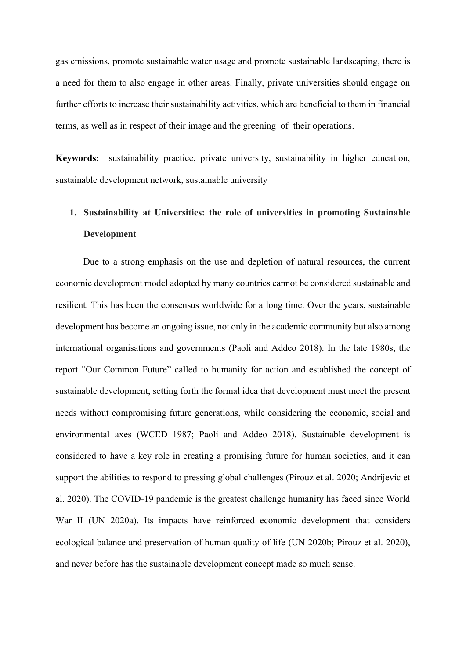gas emissions, promote sustainable water usage and promote sustainable landscaping, there is a need for them to also engage in other areas. Finally, private universities should engage on further efforts to increase their sustainability activities, which are beneficial to them in financial terms, as well as in respect of their image and the greening of their operations.

**Keywords:** sustainability practice, private university, sustainability in higher education, sustainable development network, sustainable university

# **1. Sustainability at Universities: the role of universities in promoting Sustainable Development**

Due to a strong emphasis on the use and depletion of natural resources, the current economic development model adopted by many countries cannot be considered sustainable and resilient. This has been the consensus worldwide for a long time. Over the years, sustainable development has become an ongoing issue, not only in the academic community but also among international organisations and governments (Paoli and Addeo 2018). In the late 1980s, the report "Our Common Future" called to humanity for action and established the concept of sustainable development, setting forth the formal idea that development must meet the present needs without compromising future generations, while considering the economic, social and environmental axes (WCED 1987; Paoli and Addeo 2018). Sustainable development is considered to have a key role in creating a promising future for human societies, and it can support the abilities to respond to pressing global challenges (Pirouz et al. 2020; Andrijevic et al. 2020). The COVID-19 pandemic is the greatest challenge humanity has faced since World War II (UN 2020a). Its impacts have reinforced economic development that considers ecological balance and preservation of human quality of life (UN 2020b; Pirouz et al. 2020), and never before has the sustainable development concept made so much sense.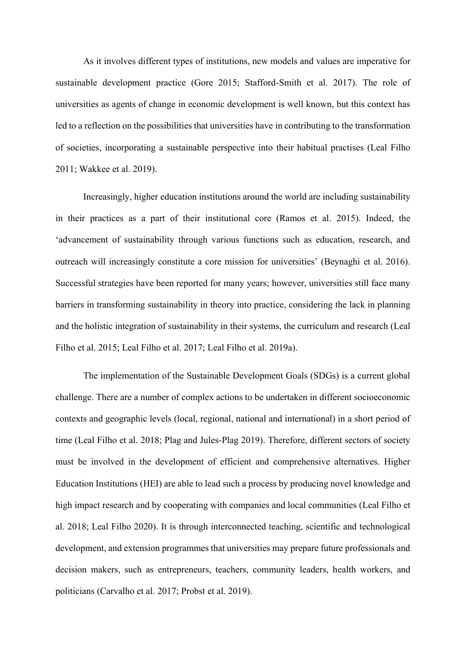As it involves different types of institutions, new models and values are imperative for sustainable development practice (Gore 2015; Stafford-Smith et al. 2017). The role of universities as agents of change in economic development is well known, but this context has led to a reflection on the possibilities that universities have in contributing to the transformation of societies, incorporating a sustainable perspective into their habitual practises (Leal Filho 2011; Wakkee et al. 2019).

Increasingly, higher education institutions around the world are including sustainability in their practices as a part of their institutional core (Ramos et al. 2015). Indeed, the 'advancement of sustainability through various functions such as education, research, and outreach will increasingly constitute a core mission for universities' (Beynaghi et al. 2016). Successful strategies have been reported for many years; however, universities still face many barriers in transforming sustainability in theory into practice, considering the lack in planning and the holistic integration of sustainability in their systems, the curriculum and research (Leal Filho et al. 2015; Leal Filho et al. 2017; Leal Filho et al. 2019a).

The implementation of the Sustainable Development Goals (SDGs) is a current global challenge. There are a number of complex actions to be undertaken in different socioeconomic contexts and geographic levels (local, regional, national and international) in a short period of time (Leal Filho et al. 2018; Plag and Jules-Plag 2019). Therefore, different sectors of society must be involved in the development of efficient and comprehensive alternatives. Higher Education Institutions (HEI) are able to lead such a process by producing novel knowledge and high impact research and by cooperating with companies and local communities (Leal Filho et al. 2018; Leal Filho 2020). It is through interconnected teaching, scientific and technological development, and extension programmes that universities may prepare future professionals and decision makers, such as entrepreneurs, teachers, community leaders, health workers, and politicians (Carvalho et al. 2017; Probst et al. 2019).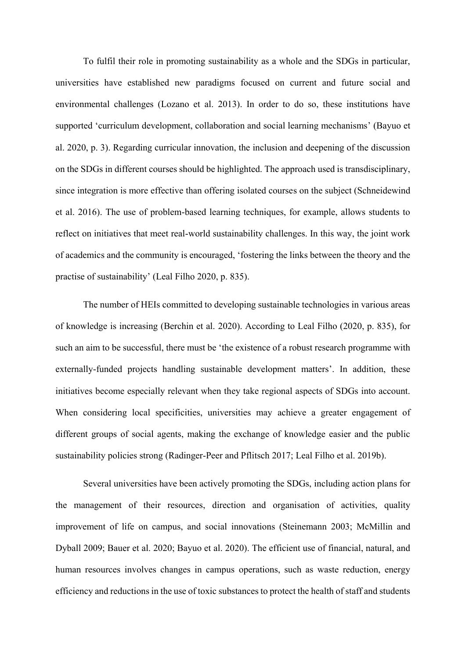To fulfil their role in promoting sustainability as a whole and the SDGs in particular, universities have established new paradigms focused on current and future social and environmental challenges (Lozano et al. 2013). In order to do so, these institutions have supported 'curriculum development, collaboration and social learning mechanisms' (Bayuo et al. 2020, p. 3). Regarding curricular innovation, the inclusion and deepening of the discussion on the SDGs in different courses should be highlighted. The approach used is transdisciplinary, since integration is more effective than offering isolated courses on the subject (Schneidewind et al. 2016). The use of problem-based learning techniques, for example, allows students to reflect on initiatives that meet real-world sustainability challenges. In this way, the joint work of academics and the community is encouraged, 'fostering the links between the theory and the practise of sustainability' (Leal Filho 2020, p. 835).

The number of HEIs committed to developing sustainable technologies in various areas of knowledge is increasing (Berchin et al. 2020). According to Leal Filho (2020, p. 835), for such an aim to be successful, there must be 'the existence of a robust research programme with externally-funded projects handling sustainable development matters'. In addition, these initiatives become especially relevant when they take regional aspects of SDGs into account. When considering local specificities, universities may achieve a greater engagement of different groups of social agents, making the exchange of knowledge easier and the public sustainability policies strong (Radinger-Peer and Pflitsch 2017; Leal Filho et al. 2019b).

Several universities have been actively promoting the SDGs, including action plans for the management of their resources, direction and organisation of activities, quality improvement of life on campus, and social innovations (Steinemann 2003; McMillin and Dyball 2009; Bauer et al. 2020; Bayuo et al. 2020). The efficient use of financial, natural, and human resources involves changes in campus operations, such as waste reduction, energy efficiency and reductions in the use of toxic substances to protect the health of staff and students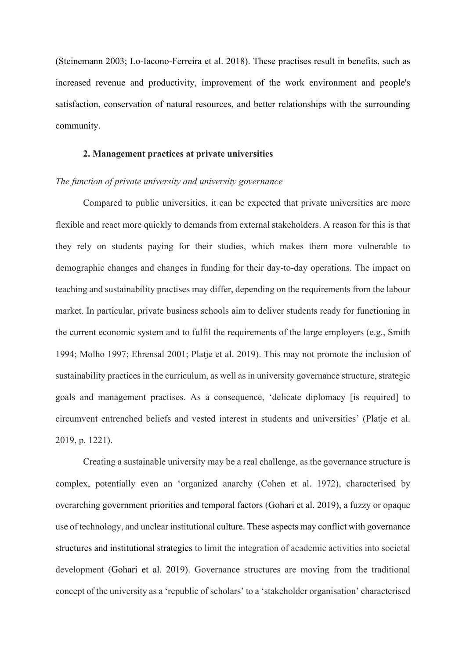(Steinemann 2003; Lo-Iacono-Ferreira et al. 2018). These practises result in benefits, such as increased revenue and productivity, improvement of the work environment and people's satisfaction, conservation of natural resources, and better relationships with the surrounding community.

### **2. Management practices at private universities**

#### *The function of private university and university governance*

Compared to public universities, it can be expected that private universities are more flexible and react more quickly to demands from external stakeholders. A reason for this is that they rely on students paying for their studies, which makes them more vulnerable to demographic changes and changes in funding for their day-to-day operations. The impact on teaching and sustainability practises may differ, depending on the requirements from the labour market. In particular, private business schools aim to deliver students ready for functioning in the current economic system and to fulfil the requirements of the large employers (e.g., Smith 1994; Molho 1997; Ehrensal 2001; Platje et al. 2019). This may not promote the inclusion of sustainability practices in the curriculum, as well as in university governance structure, strategic goals and management practises. As a consequence, 'delicate diplomacy [is required] to circumvent entrenched beliefs and vested interest in students and universities' (Platje et al. 2019, p. 1221).

Creating a sustainable university may be a real challenge, as the governance structure is complex, potentially even an 'organized anarchy (Cohen et al. 1972), characterised by overarching government priorities and temporal factors (Gohari et al. 2019), a fuzzy or opaque use of technology, and unclear institutional culture. These aspects may conflict with governance structures and institutional strategies to limit the integration of academic activities into societal development (Gohari et al. 2019). Governance structures are moving from the traditional concept of the university as a 'republic of scholars' to a 'stakeholder organisation' characterised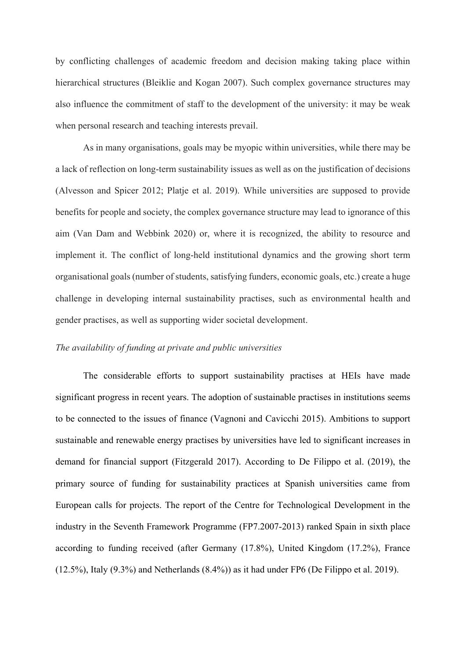by conflicting challenges of academic freedom and decision making taking place within hierarchical structures (Bleiklie and Kogan 2007). Such complex governance structures may also influence the commitment of staff to the development of the university: it may be weak when personal research and teaching interests prevail.

As in many organisations, goals may be myopic within universities, while there may be a lack of reflection on long-term sustainability issues as well as on the justification of decisions (Alvesson and Spicer 2012; Platje et al. 2019). While universities are supposed to provide benefits for people and society, the complex governance structure may lead to ignorance of this aim (Van Dam and Webbink 2020) or, where it is recognized, the ability to resource and implement it. The conflict of long-held institutional dynamics and the growing short term organisational goals (number of students, satisfying funders, economic goals, etc.) create a huge challenge in developing internal sustainability practises, such as environmental health and gender practises, as well as supporting wider societal development.

## *The availability of funding at private and public universities*

The considerable efforts to support sustainability practises at HEIs have made significant progress in recent years. The adoption of sustainable practises in institutions seems to be connected to the issues of finance (Vagnoni and Cavicchi 2015). Ambitions to support sustainable and renewable energy practises by universities have led to significant increases in demand for financial support (Fitzgerald 2017). According to De Filippo et al. (2019), the primary source of funding for sustainability practices at Spanish universities came from European calls for projects. The report of the Centre for Technological Development in the industry in the Seventh Framework Programme (FP7.2007-2013) ranked Spain in sixth place according to funding received (after Germany (17.8%), United Kingdom (17.2%), France (12.5%), Italy (9.3%) and Netherlands (8.4%)) as it had under FP6 (De Filippo et al. 2019).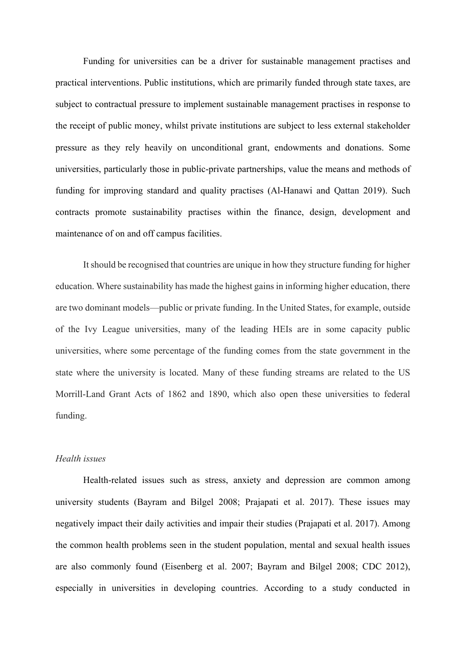Funding for universities can be a driver for sustainable management practises and practical interventions. Public institutions, which are primarily funded through state taxes, are subject to contractual pressure to implement sustainable management practises in response to the receipt of public money, whilst private institutions are subject to less external stakeholder pressure as they rely heavily on unconditional grant, endowments and donations. Some universities, particularly those in public-private partnerships, value the means and methods of funding for improving standard and quality practises (Al-Hanawi and Qattan 2019). Such contracts promote sustainability practises within the finance, design, development and maintenance of on and off campus facilities.

It should be recognised that countries are unique in how they structure funding for higher education. Where sustainability has made the highest gains in informing higher education, there are two dominant models—public or private funding. In the United States, for example, outside of the Ivy League universities, many of the leading HEIs are in some capacity public universities, where some percentage of the funding comes from the state government in the state where the university is located. Many of these funding streams are related to the US Morrill-Land Grant Acts of 1862 and 1890, which also open these universities to federal funding.

## *Health issues*

Health-related issues such as stress, anxiety and depression are common among university students (Bayram and Bilgel 2008; Prajapati et al. 2017). These issues may negatively impact their daily activities and impair their studies (Prajapati et al. 2017). Among the common health problems seen in the student population, mental and sexual health issues are also commonly found (Eisenberg et al. 2007; Bayram and Bilgel 2008; CDC 2012), especially in universities in developing countries. According to a study conducted in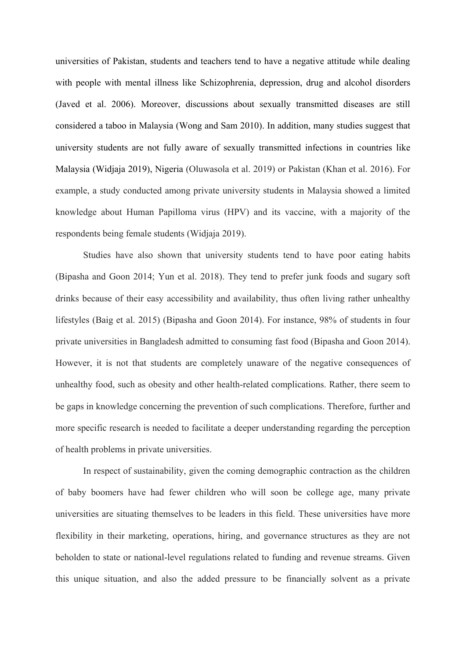universities of Pakistan, students and teachers tend to have a negative attitude while dealing with people with mental illness like Schizophrenia, depression, drug and alcohol disorders (Javed et al. 2006). Moreover, discussions about sexually transmitted diseases are still considered a taboo in Malaysia (Wong and Sam 2010). In addition, many studies suggest that university students are not fully aware of sexually transmitted infections in countries like Malaysia (Widjaja 2019), Nigeria (Oluwasola et al. 2019) or Pakistan (Khan et al. 2016). For example, a study conducted among private university students in Malaysia showed a limited knowledge about Human Papilloma virus (HPV) and its vaccine, with a majority of the respondents being female students (Widjaja 2019).

Studies have also shown that university students tend to have poor eating habits (Bipasha and Goon 2014; Yun et al. 2018). They tend to prefer junk foods and sugary soft drinks because of their easy accessibility and availability, thus often living rather unhealthy lifestyles (Baig et al. 2015) (Bipasha and Goon 2014). For instance, 98% of students in four private universities in Bangladesh admitted to consuming fast food (Bipasha and Goon 2014). However, it is not that students are completely unaware of the negative consequences of unhealthy food, such as obesity and other health-related complications. Rather, there seem to be gaps in knowledge concerning the prevention of such complications. Therefore, further and more specific research is needed to facilitate a deeper understanding regarding the perception of health problems in private universities.

In respect of sustainability, given the coming demographic contraction as the children of baby boomers have had fewer children who will soon be college age, many private universities are situating themselves to be leaders in this field. These universities have more flexibility in their marketing, operations, hiring, and governance structures as they are not beholden to state or national-level regulations related to funding and revenue streams. Given this unique situation, and also the added pressure to be financially solvent as a private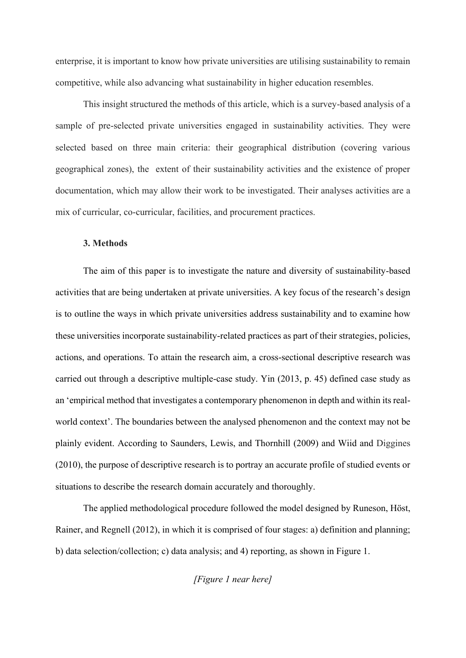enterprise, it is important to know how private universities are utilising sustainability to remain competitive, while also advancing what sustainability in higher education resembles.

This insight structured the methods of this article, which is a survey-based analysis of a sample of pre-selected private universities engaged in sustainability activities. They were selected based on three main criteria: their geographical distribution (covering various geographical zones), the extent of their sustainability activities and the existence of proper documentation, which may allow their work to be investigated. Their analyses activities are a mix of curricular, co-curricular, facilities, and procurement practices.

#### **3. Methods**

The aim of this paper is to investigate the nature and diversity of sustainability-based activities that are being undertaken at private universities. A key focus of the research's design is to outline the ways in which private universities address sustainability and to examine how these universities incorporate sustainability-related practices as part of their strategies, policies, actions, and operations. To attain the research aim, a cross-sectional descriptive research was carried out through a descriptive multiple-case study. Yin (2013, p. 45) defined case study as an 'empirical method that investigates a contemporary phenomenon in depth and within its realworld context'. The boundaries between the analysed phenomenon and the context may not be plainly evident. According to Saunders, Lewis, and Thornhill (2009) and Wiid and Diggines (2010), the purpose of descriptive research is to portray an accurate profile of studied events or situations to describe the research domain accurately and thoroughly.

The applied methodological procedure followed the model designed by Runeson, Höst, Rainer, and Regnell (2012), in which it is comprised of four stages: a) definition and planning; b) data selection/collection; c) data analysis; and 4) reporting, as shown in Figure 1.

*[Figure 1 near here]*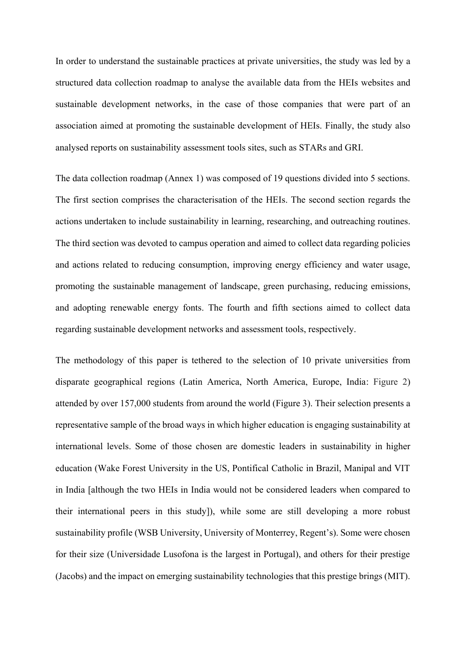In order to understand the sustainable practices at private universities, the study was led by a structured data collection roadmap to analyse the available data from the HEIs websites and sustainable development networks, in the case of those companies that were part of an association aimed at promoting the sustainable development of HEIs. Finally, the study also analysed reports on sustainability assessment tools sites, such as STARs and GRI.

The data collection roadmap (Annex 1) was composed of 19 questions divided into 5 sections. The first section comprises the characterisation of the HEIs. The second section regards the actions undertaken to include sustainability in learning, researching, and outreaching routines. The third section was devoted to campus operation and aimed to collect data regarding policies and actions related to reducing consumption, improving energy efficiency and water usage, promoting the sustainable management of landscape, green purchasing, reducing emissions, and adopting renewable energy fonts. The fourth and fifth sections aimed to collect data regarding sustainable development networks and assessment tools, respectively.

The methodology of this paper is tethered to the selection of 10 private universities from disparate geographical regions (Latin America, North America, Europe, India: Figure 2) attended by over 157,000 students from around the world (Figure 3). Their selection presents a representative sample of the broad ways in which higher education is engaging sustainability at international levels. Some of those chosen are domestic leaders in sustainability in higher education (Wake Forest University in the US, Pontifical Catholic in Brazil, Manipal and VIT in India [although the two HEIs in India would not be considered leaders when compared to their international peers in this study]), while some are still developing a more robust sustainability profile (WSB University, University of Monterrey, Regent's). Some were chosen for their size (Universidade Lusofona is the largest in Portugal), and others for their prestige (Jacobs) and the impact on emerging sustainability technologies that this prestige brings (MIT).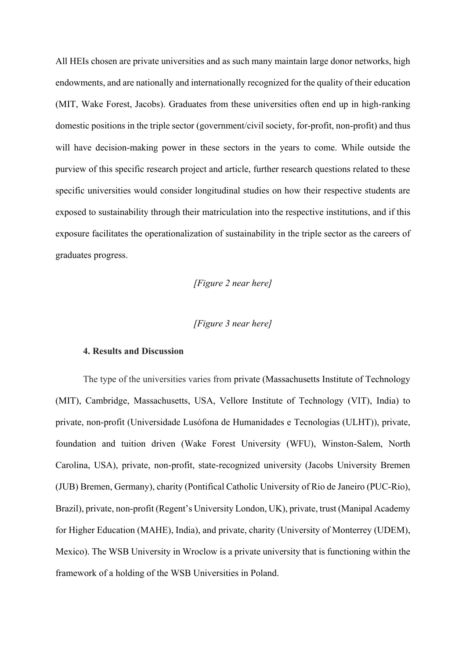All HEIs chosen are private universities and as such many maintain large donor networks, high endowments, and are nationally and internationally recognized for the quality of their education (MIT, Wake Forest, Jacobs). Graduates from these universities often end up in high-ranking domestic positions in the triple sector (government/civil society, for-profit, non-profit) and thus will have decision-making power in these sectors in the years to come. While outside the purview of this specific research project and article, further research questions related to these specific universities would consider longitudinal studies on how their respective students are exposed to sustainability through their matriculation into the respective institutions, and if this exposure facilitates the operationalization of sustainability in the triple sector as the careers of graduates progress.

*[Figure 2 near here]*

## *[Figure 3 near here]*

#### **4. Results and Discussion**

The type of the universities varies from private (Massachusetts Institute of Technology (MIT), Cambridge, Massachusetts, USA, Vellore Institute of Technology (VIT), India) to private, non-profit (Universidade Lusófona de Humanidades e Tecnologias (ULHT)), private, foundation and tuition driven (Wake Forest University (WFU), Winston-Salem, North Carolina, USA), private, non-profit, state-recognized university (Jacobs University Bremen (JUB) Bremen, Germany), charity (Pontifical Catholic University of Rio de Janeiro (PUC-Rio), Brazil), private, non-profit (Regent's University London, UK), private, trust (Manipal Academy for Higher Education (MAHE), India), and private, charity (University of Monterrey (UDEM), Mexico). The WSB University in Wroclow is a private university that is functioning within the framework of a holding of the WSB Universities in Poland.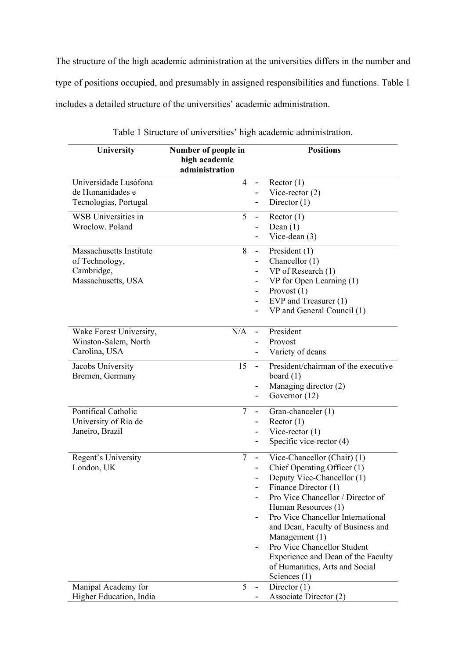The structure of the high academic administration at the universities differs in the number and type of positions occupied, and presumably in assigned responsibilities and functions. Table 1 includes a detailed structure of the universities' academic administration.

| University                                                                    | Number of people in<br>high academic<br>administration |                                                                                          | <b>Positions</b>                                                                                                                                                                                                                                                                                                                                                                                  |
|-------------------------------------------------------------------------------|--------------------------------------------------------|------------------------------------------------------------------------------------------|---------------------------------------------------------------------------------------------------------------------------------------------------------------------------------------------------------------------------------------------------------------------------------------------------------------------------------------------------------------------------------------------------|
| Universidade Lusófona<br>de Humanidades e<br>Tecnologias, Portugal            | $\overline{4}$                                         | $\sim$                                                                                   | Rector(1)<br>Vice-rector $(2)$<br>Director $(1)$                                                                                                                                                                                                                                                                                                                                                  |
| <b>WSB</b> Universities in<br>Wroclow. Poland                                 | 5                                                      | $\blacksquare$                                                                           | Rector(1)<br>Dean $(1)$<br>Vice-dean $(3)$                                                                                                                                                                                                                                                                                                                                                        |
| Massachusetts Institute<br>of Technology,<br>Cambridge,<br>Massachusetts, USA | 8                                                      | $\overline{\phantom{a}}$<br>$\blacksquare$<br>$\blacksquare$<br>$\overline{\phantom{a}}$ | President $(1)$<br>Chancellor (1)<br>VP of Research (1)<br>VP for Open Learning (1)<br>Provost $(1)$<br>EVP and Treasurer (1)<br>VP and General Council (1)                                                                                                                                                                                                                                       |
| Wake Forest University,<br>Winston-Salem, North<br>Carolina, USA              | N/A                                                    | $\blacksquare$                                                                           | President<br>Provost<br>Variety of deans                                                                                                                                                                                                                                                                                                                                                          |
| Jacobs University<br>Bremen, Germany                                          | 15                                                     | $\blacksquare$<br>$\blacksquare$<br>-                                                    | President/chairman of the executive<br>board $(1)$<br>Managing director (2)<br>Governor (12)                                                                                                                                                                                                                                                                                                      |
| Pontifical Catholic<br>University of Rio de<br>Janeiro, Brazil                | $\overline{7}$                                         | $\overline{a}$<br>$\overline{\phantom{a}}$<br>$\overline{\phantom{a}}$                   | Gran-chanceler (1)<br>Rector(1)<br>Vice-rector $(1)$<br>Specific vice-rector $(4)$                                                                                                                                                                                                                                                                                                                |
| Regent's University<br>London, UK                                             | $\overline{7}$                                         | $\blacksquare$                                                                           | Vice-Chancellor (Chair) (1)<br>Chief Operating Officer (1)<br>Deputy Vice-Chancellor (1)<br>Finance Director (1)<br>Pro Vice Chancellor / Director of<br>Human Resources (1)<br>Pro Vice Chancellor International<br>and Dean, Faculty of Business and<br>Management (1)<br>Pro Vice Chancellor Student<br>Experience and Dean of the Faculty<br>of Humanities, Arts and Social<br>Sciences $(1)$ |
| Manipal Academy for<br>Higher Education, India                                | 5                                                      | $\qquad \qquad \blacksquare$                                                             | Director $(1)$<br>Associate Director (2)                                                                                                                                                                                                                                                                                                                                                          |

Table 1 Structure of universities' high academic administration.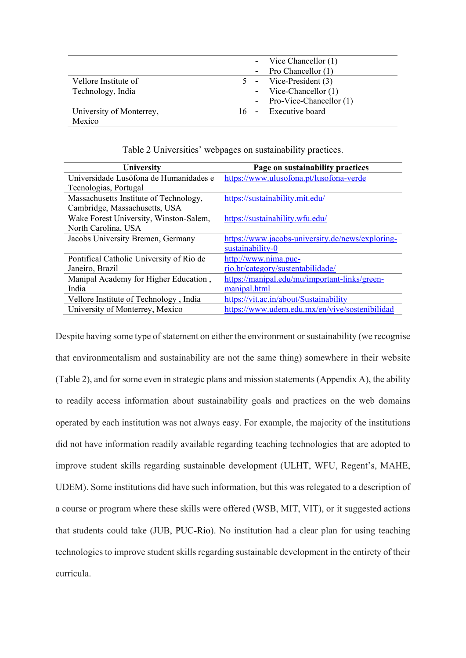|                          | - Vice Chancellor (1)           |
|--------------------------|---------------------------------|
|                          | - Pro Chancellor $(1)$          |
| Vellore Institute of     | $5 - \text{Vice-President (3)}$ |
| Technology, India        | - Vice-Chancellor $(1)$         |
|                          | - Pro-Vice-Chancellor (1)       |
| University of Monterrey, | 16 - Executive board            |
| Mexico                   |                                 |

Table 2 Universities' webpages on sustainability practices.

| University                               | Page on sustainability practices                 |
|------------------------------------------|--------------------------------------------------|
| Universidade Lusófona de Humanidades e   | https://www.ulusofona.pt/lusofona-verde          |
| Tecnologias, Portugal                    |                                                  |
| Massachusetts Institute of Technology,   | https://sustainability.mit.edu/                  |
| Cambridge, Massachusetts, USA            |                                                  |
| Wake Forest University, Winston-Salem,   | https://sustainability.wfu.edu/                  |
| North Carolina, USA                      |                                                  |
| Jacobs University Bremen, Germany        | https://www.jacobs-university.de/news/exploring- |
|                                          | sustainability-0                                 |
| Pontifical Catholic University of Rio de | http://www.nima.puc-                             |
| Janeiro, Brazil                          | rio.br/category/sustentabilidade/                |
| Manipal Academy for Higher Education,    | https://manipal.edu/mu/important-links/green-    |
| India                                    | manipal.html                                     |
| Vellore Institute of Technology, India   | https://vit.ac.in/about/Sustainability           |
| University of Monterrey, Mexico          | https://www.udem.edu.mx/en/vive/sostenibilidad   |

Despite having some type of statement on either the environment or sustainability (we recognise that environmentalism and sustainability are not the same thing) somewhere in their website (Table 2), and for some even in strategic plans and mission statements (Appendix A), the ability to readily access information about sustainability goals and practices on the web domains operated by each institution was not always easy. For example, the majority of the institutions did not have information readily available regarding teaching technologies that are adopted to improve student skills regarding sustainable development (ULHT, WFU, Regent's, MAHE, UDEM). Some institutions did have such information, but this was relegated to a description of a course or program where these skills were offered (WSB, MIT, VIT), or it suggested actions that students could take (JUB, PUC-Rio). No institution had a clear plan for using teaching technologies to improve student skills regarding sustainable development in the entirety of their curricula.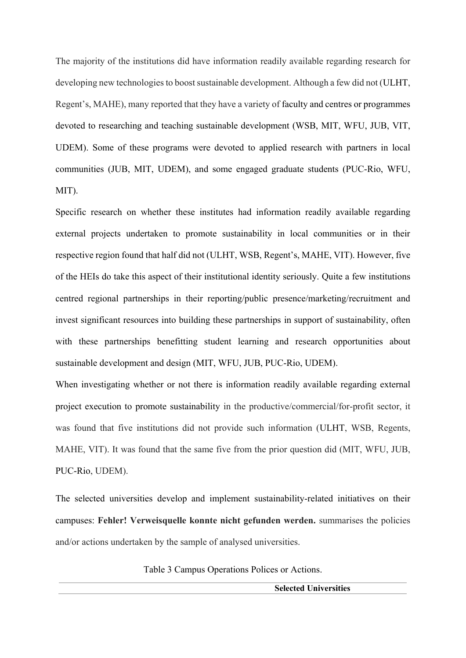The majority of the institutions did have information readily available regarding research for developing new technologies to boost sustainable development. Although a few did not (ULHT, Regent's, MAHE), many reported that they have a variety of faculty and centres or programmes devoted to researching and teaching sustainable development (WSB, MIT, WFU, JUB, VIT, UDEM). Some of these programs were devoted to applied research with partners in local communities (JUB, MIT, UDEM), and some engaged graduate students (PUC-Rio, WFU, MIT).

Specific research on whether these institutes had information readily available regarding external projects undertaken to promote sustainability in local communities or in their respective region found that half did not (ULHT, WSB, Regent's, MAHE, VIT). However, five of the HEIs do take this aspect of their institutional identity seriously. Quite a few institutions centred regional partnerships in their reporting/public presence/marketing/recruitment and invest significant resources into building these partnerships in support of sustainability, often with these partnerships benefitting student learning and research opportunities about sustainable development and design (MIT, WFU, JUB, PUC-Rio, UDEM).

When investigating whether or not there is information readily available regarding external project execution to promote sustainability in the productive/commercial/for-profit sector, it was found that five institutions did not provide such information (ULHT, WSB, Regents, MAHE, VIT). It was found that the same five from the prior question did (MIT, WFU, JUB, PUC-Rio, UDEM).

The selected universities develop and implement sustainability-related initiatives on their campuses: **Fehler! Verweisquelle konnte nicht gefunden werden.** summarises the policies and/or actions undertaken by the sample of analysed universities.

Table 3 Campus Operations Polices or Actions.

**Selected Universities**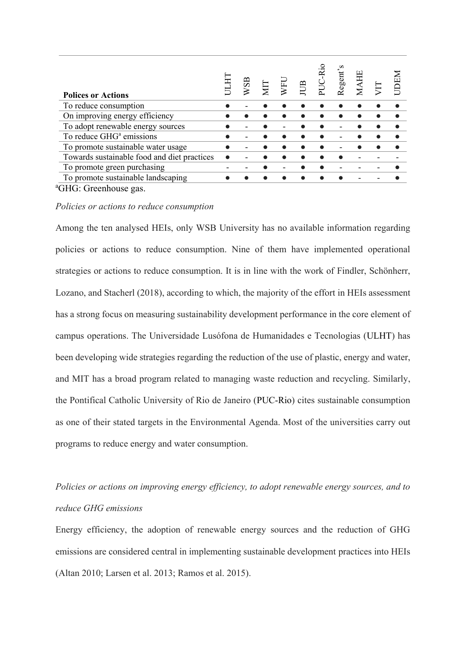| <b>Polices or Actions</b>                   | WSB | ДT | VFL | $\mathbb{B}$ | PUC-Ric | Regent's | <b>AH</b> |  |
|---------------------------------------------|-----|----|-----|--------------|---------|----------|-----------|--|
| To reduce consumption                       |     |    |     |              |         |          |           |  |
| On improving energy efficiency              |     |    |     |              |         |          |           |  |
| To adopt renewable energy sources           |     |    |     |              |         |          |           |  |
| To reduce GHG <sup>a</sup> emissions        |     |    |     |              |         |          |           |  |
| To promote sustainable water usage          |     |    |     |              |         |          |           |  |
| Towards sustainable food and diet practices |     |    |     |              |         |          |           |  |
| To promote green purchasing                 |     |    |     |              |         |          |           |  |
| To promote sustainable landscaping          |     |    |     |              |         |          |           |  |
| $CILC. C$ can para cos                      |     |    |     |              |         |          |           |  |

<sup>a</sup>GHG: Greenhouse gas.

#### *Policies or actions to reduce consumption*

Among the ten analysed HEIs, only WSB University has no available information regarding policies or actions to reduce consumption. Nine of them have implemented operational strategies or actions to reduce consumption. It is in line with the work of Findler, Schönherr, Lozano, and Stacherl (2018), according to which, the majority of the effort in HEIs assessment has a strong focus on measuring sustainability development performance in the core element of campus operations. The Universidade Lusófona de Humanidades e Tecnologias (ULHT) has been developing wide strategies regarding the reduction of the use of plastic, energy and water, and MIT has a broad program related to managing waste reduction and recycling. Similarly, the Pontifical Catholic University of Rio de Janeiro (PUC-Rio) cites sustainable consumption as one of their stated targets in the Environmental Agenda. Most of the universities carry out programs to reduce energy and water consumption.

# *Policies or actions on improving energy efficiency, to adopt renewable energy sources, and to reduce GHG emissions*

Energy efficiency, the adoption of renewable energy sources and the reduction of GHG emissions are considered central in implementing sustainable development practices into HEIs (Altan 2010; Larsen et al. 2013; Ramos et al. 2015).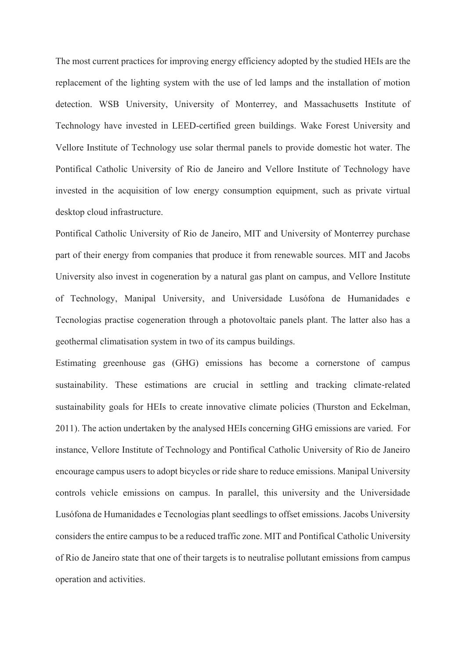The most current practices for improving energy efficiency adopted by the studied HEIs are the replacement of the lighting system with the use of led lamps and the installation of motion detection. WSB University, University of Monterrey, and Massachusetts Institute of Technology have invested in LEED-certified green buildings. Wake Forest University and Vellore Institute of Technology use solar thermal panels to provide domestic hot water. The Pontifical Catholic University of Rio de Janeiro and Vellore Institute of Technology have invested in the acquisition of low energy consumption equipment, such as private virtual desktop cloud infrastructure.

Pontifical Catholic University of Rio de Janeiro, MIT and University of Monterrey purchase part of their energy from companies that produce it from renewable sources. MIT and Jacobs University also invest in cogeneration by a natural gas plant on campus, and Vellore Institute of Technology, Manipal University, and Universidade Lusófona de Humanidades e Tecnologias practise cogeneration through a photovoltaic panels plant. The latter also has a geothermal climatisation system in two of its campus buildings.

Estimating greenhouse gas (GHG) emissions has become a cornerstone of campus sustainability. These estimations are crucial in settling and tracking climate-related sustainability goals for HEIs to create innovative climate policies (Thurston and Eckelman, 2011). The action undertaken by the analysed HEIs concerning GHG emissions are varied. For instance, Vellore Institute of Technology and Pontifical Catholic University of Rio de Janeiro encourage campus users to adopt bicycles or ride share to reduce emissions. Manipal University controls vehicle emissions on campus. In parallel, this university and the Universidade Lusófona de Humanidades e Tecnologias plant seedlings to offset emissions. Jacobs University considers the entire campus to be a reduced traffic zone. MIT and Pontifical Catholic University of Rio de Janeiro state that one of their targets is to neutralise pollutant emissions from campus operation and activities.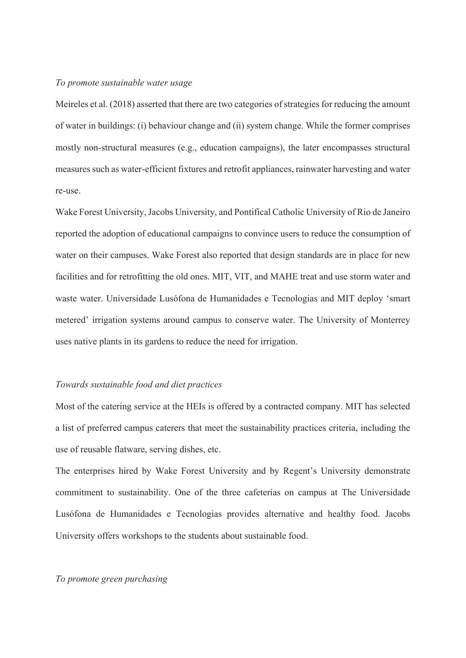## *To promote sustainable water usage*

Meireles et al. (2018) asserted that there are two categories of strategies for reducing the amount of water in buildings: (i) behaviour change and (ii) system change. While the former comprises mostly non-structural measures (e.g., education campaigns), the later encompasses structural measures such as water-efficient fixtures and retrofit appliances, rainwater harvesting and water re-use.

Wake Forest University, Jacobs University, and Pontifical Catholic University of Rio de Janeiro reported the adoption of educational campaigns to convince users to reduce the consumption of water on their campuses. Wake Forest also reported that design standards are in place for new facilities and for retrofitting the old ones. MIT, VIT, and MAHE treat and use storm water and waste water. Universidade Lusófona de Humanidades e Tecnologias and MIT deploy 'smart metered' irrigation systems around campus to conserve water. The University of Monterrey uses native plants in its gardens to reduce the need for irrigation.

## *Towards sustainable food and diet practices*

Most of the catering service at the HEIs is offered by a contracted company. MIT has selected a list of preferred campus caterers that meet the sustainability practices criteria, including the use of reusable flatware, serving dishes, etc.

The enterprises hired by Wake Forest University and by Regent's University demonstrate commitment to sustainability. One of the three cafeterias on campus at The Universidade Lusófona de Humanidades e Tecnologias provides alternative and healthy food. Jacobs University offers workshops to the students about sustainable food.

### *To promote green purchasing*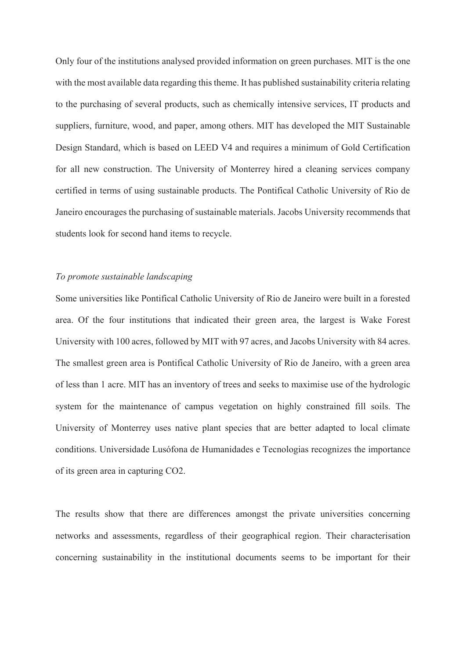Only four of the institutions analysed provided information on green purchases. MIT is the one with the most available data regarding this theme. It has published sustainability criteria relating to the purchasing of several products, such as chemically intensive services, IT products and suppliers, furniture, wood, and paper, among others. MIT has developed the MIT Sustainable Design Standard, which is based on LEED V4 and requires a minimum of Gold Certification for all new construction. The University of Monterrey hired a cleaning services company certified in terms of using sustainable products. The Pontifical Catholic University of Rio de Janeiro encourages the purchasing of sustainable materials. Jacobs University recommends that students look for second hand items to recycle.

## *To promote sustainable landscaping*

Some universities like Pontifical Catholic University of Rio de Janeiro were built in a forested area. Of the four institutions that indicated their green area, the largest is Wake Forest University with 100 acres, followed by MIT with 97 acres, and Jacobs University with 84 acres. The smallest green area is Pontifical Catholic University of Rio de Janeiro, with a green area of less than 1 acre. MIT has an inventory of trees and seeks to maximise use of the hydrologic system for the maintenance of campus vegetation on highly constrained fill soils. The University of Monterrey uses native plant species that are better adapted to local climate conditions. Universidade Lusófona de Humanidades e Tecnologias recognizes the importance of its green area in capturing CO2.

The results show that there are differences amongst the private universities concerning networks and assessments, regardless of their geographical region. Their characterisation concerning sustainability in the institutional documents seems to be important for their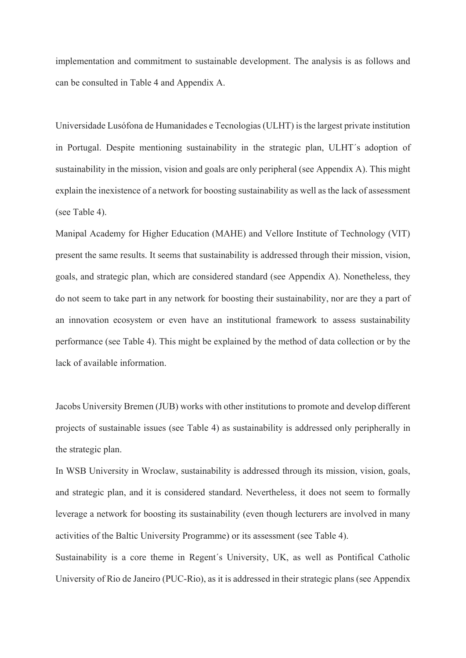implementation and commitment to sustainable development. The analysis is as follows and can be consulted in Table 4 and Appendix A.

Universidade Lusófona de Humanidades e Tecnologias (ULHT) is the largest private institution in Portugal. Despite mentioning sustainability in the strategic plan, ULHT´s adoption of sustainability in the mission, vision and goals are only peripheral (see Appendix A). This might explain the inexistence of a network for boosting sustainability as well as the lack of assessment (see Table 4).

Manipal Academy for Higher Education (MAHE) and Vellore Institute of Technology (VIT) present the same results. It seems that sustainability is addressed through their mission, vision, goals, and strategic plan, which are considered standard (see Appendix A). Nonetheless, they do not seem to take part in any network for boosting their sustainability, nor are they a part of an innovation ecosystem or even have an institutional framework to assess sustainability performance (see Table 4). This might be explained by the method of data collection or by the lack of available information.

Jacobs University Bremen (JUB) works with other institutions to promote and develop different projects of sustainable issues (see Table 4) as sustainability is addressed only peripherally in the strategic plan.

In WSB University in Wroclaw, sustainability is addressed through its mission, vision, goals, and strategic plan, and it is considered standard. Nevertheless, it does not seem to formally leverage a network for boosting its sustainability (even though lecturers are involved in many activities of the Baltic University Programme) or its assessment (see Table 4).

Sustainability is a core theme in Regent´s University, UK, as well as Pontifical Catholic University of Rio de Janeiro (PUC-Rio), as it is addressed in their strategic plans (see Appendix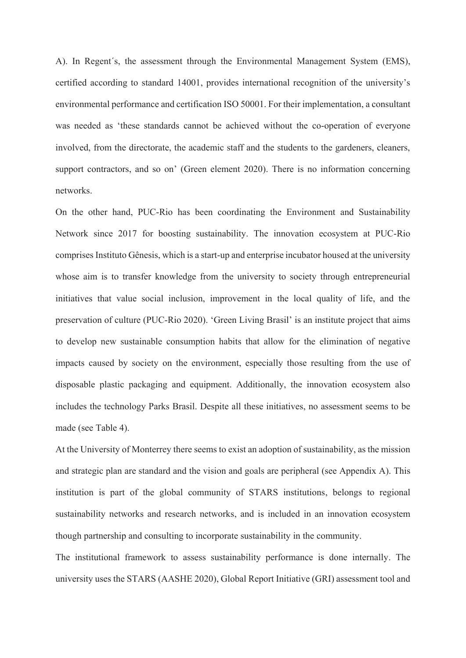A). In Regent´s, the assessment through the Environmental Management System (EMS), certified according to standard 14001, provides international recognition of the university's environmental performance and certification ISO 50001. For their implementation, a consultant was needed as 'these standards cannot be achieved without the co-operation of everyone involved, from the directorate, the academic staff and the students to the gardeners, cleaners, support contractors, and so on' (Green element 2020). There is no information concerning networks.

On the other hand, PUC-Rio has been coordinating the Environment and Sustainability Network since 2017 for boosting sustainability. The innovation ecosystem at PUC-Rio comprises Instituto Gênesis, which is a start-up and enterprise incubator housed at the university whose aim is to transfer knowledge from the university to society through entrepreneurial initiatives that value social inclusion, improvement in the local quality of life, and the preservation of culture (PUC-Rio 2020). 'Green Living Brasil' is an institute project that aims to develop new sustainable consumption habits that allow for the elimination of negative impacts caused by society on the environment, especially those resulting from the use of disposable plastic packaging and equipment. Additionally, the innovation ecosystem also includes the technology Parks Brasil. Despite all these initiatives, no assessment seems to be made (see Table 4).

At the University of Monterrey there seems to exist an adoption of sustainability, as the mission and strategic plan are standard and the vision and goals are peripheral (see Appendix A). This institution is part of the global community of STARS institutions, belongs to regional sustainability networks and research networks, and is included in an innovation ecosystem though partnership and consulting to incorporate sustainability in the community.

The institutional framework to assess sustainability performance is done internally. The university uses the STARS (AASHE 2020), Global Report Initiative (GRI) assessment tool and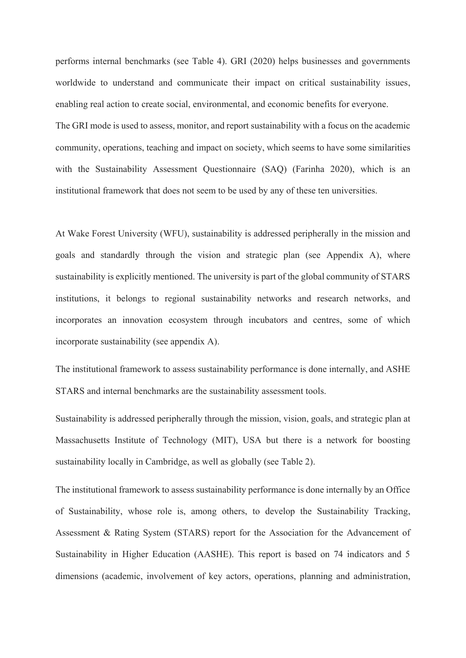performs internal benchmarks (see Table 4). GRI (2020) helps businesses and governments worldwide to understand and communicate their impact on critical sustainability issues, enabling real action to create social, environmental, and economic benefits for everyone. The GRI mode is used to assess, monitor, and report sustainability with a focus on the academic community, operations, teaching and impact on society, which seems to have some similarities with the Sustainability Assessment Questionnaire (SAQ) (Farinha 2020), which is an institutional framework that does not seem to be used by any of these ten universities.

At Wake Forest University (WFU), sustainability is addressed peripherally in the mission and goals and standardly through the vision and strategic plan (see Appendix A), where sustainability is explicitly mentioned. The university is part of the global community of STARS institutions, it belongs to regional sustainability networks and research networks, and incorporates an innovation ecosystem through incubators and centres, some of which incorporate sustainability (see appendix A).

The institutional framework to assess sustainability performance is done internally, and ASHE STARS and internal benchmarks are the sustainability assessment tools.

Sustainability is addressed peripherally through the mission, vision, goals, and strategic plan at Massachusetts Institute of Technology (MIT), USA but there is a network for boosting sustainability locally in Cambridge, as well as globally (see Table 2).

The institutional framework to assess sustainability performance is done internally by an Office of Sustainability, whose role is, among others, to develop the Sustainability Tracking, Assessment & Rating System (STARS) report for the Association for the Advancement of Sustainability in Higher Education (AASHE). This report is based on 74 indicators and 5 dimensions (academic, involvement of key actors, operations, planning and administration,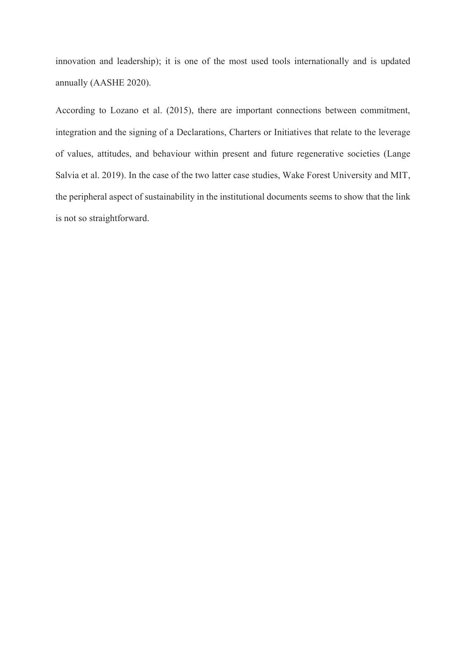innovation and leadership); it is one of the most used tools internationally and is updated annually (AASHE 2020).

According to Lozano et al. (2015), there are important connections between commitment, integration and the signing of a Declarations, Charters or Initiatives that relate to the leverage of values, attitudes, and behaviour within present and future regenerative societies (Lange Salvia et al. 2019). In the case of the two latter case studies, Wake Forest University and MIT, the peripheral aspect of sustainability in the institutional documents seems to show that the link is not so straightforward.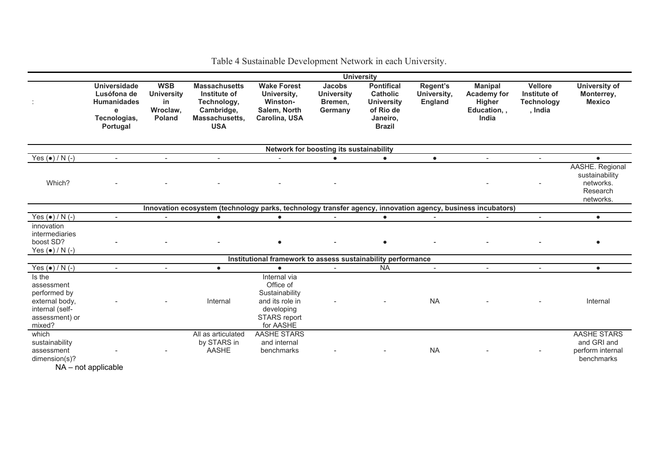|                                                                                                             | <b>University</b>                                                                         |                                                             |                                                                                                   |                                                                                                           |                                                          |                                                                                                     |                                    |                                                                               |                                                                |                                                                         |  |  |  |
|-------------------------------------------------------------------------------------------------------------|-------------------------------------------------------------------------------------------|-------------------------------------------------------------|---------------------------------------------------------------------------------------------------|-----------------------------------------------------------------------------------------------------------|----------------------------------------------------------|-----------------------------------------------------------------------------------------------------|------------------------------------|-------------------------------------------------------------------------------|----------------------------------------------------------------|-------------------------------------------------------------------------|--|--|--|
|                                                                                                             | <b>Universidade</b><br>Lusófona de<br><b>Humanidades</b><br>е<br>Tecnologias,<br>Portugal | <b>WSB</b><br><b>University</b><br>in<br>Wroclaw,<br>Poland | <b>Massachusetts</b><br>Institute of<br>Technology,<br>Cambridge,<br>Massachusetts,<br><b>USA</b> | <b>Wake Forest</b><br>University,<br>Winston-<br>Salem, North<br>Carolina, USA                            | <b>Jacobs</b><br><b>University</b><br>Bremen,<br>Germany | <b>Pontifical</b><br><b>Catholic</b><br><b>University</b><br>of Rio de<br>Janeiro,<br><b>Brazil</b> | Regent's<br>University,<br>England | <b>Manipal</b><br><b>Academy for</b><br><b>Higher</b><br>Education,,<br>India | <b>Vellore</b><br>Institute of<br><b>Technology</b><br>, India | <b>University of</b><br>Monterrey,<br><b>Mexico</b>                     |  |  |  |
| Network for boosting its sustainability                                                                     |                                                                                           |                                                             |                                                                                                   |                                                                                                           |                                                          |                                                                                                     |                                    |                                                                               |                                                                |                                                                         |  |  |  |
| Yes $(\bullet) / N$ (-)                                                                                     | $\overline{\phantom{a}}$                                                                  | $\overline{\phantom{a}}$                                    | $\overline{\phantom{a}}$                                                                          | $\sim$                                                                                                    | $\bullet$                                                | $\bullet$                                                                                           | $\bullet$                          | $\overline{\phantom{a}}$                                                      | $\sim$                                                         | $\bullet$                                                               |  |  |  |
| Which?                                                                                                      |                                                                                           |                                                             |                                                                                                   |                                                                                                           |                                                          |                                                                                                     |                                    |                                                                               |                                                                | AASHE. Regional<br>sustainability<br>networks.<br>Research<br>networks. |  |  |  |
| Innovation ecosystem (technology parks, technology transfer agency, innovation agency, business incubators) |                                                                                           |                                                             |                                                                                                   |                                                                                                           |                                                          |                                                                                                     |                                    |                                                                               |                                                                |                                                                         |  |  |  |
| Yes $(\bullet)$ / N $(-)$                                                                                   |                                                                                           | $\blacksquare$                                              | $\bullet$                                                                                         | $\bullet$                                                                                                 |                                                          | $\bullet$                                                                                           |                                    |                                                                               | $\blacksquare$                                                 | $\bullet$                                                               |  |  |  |
| innovation<br>intermediaries<br>boost SD?<br>Yes $(\bullet)$ / N $(-)$                                      |                                                                                           |                                                             |                                                                                                   |                                                                                                           |                                                          |                                                                                                     |                                    |                                                                               |                                                                |                                                                         |  |  |  |
|                                                                                                             |                                                                                           |                                                             |                                                                                                   | Institutional framework to assess sustainability performance                                              |                                                          |                                                                                                     |                                    |                                                                               |                                                                |                                                                         |  |  |  |
| Yes $(\bullet)$ / N $(-)$                                                                                   | $\overline{\phantom{a}}$                                                                  |                                                             | $\bullet$                                                                                         | $\bullet$                                                                                                 |                                                          | <b>NA</b>                                                                                           | $\overline{\phantom{a}}$           | $\overline{\phantom{a}}$                                                      | $\overline{\phantom{a}}$                                       | $\bullet$                                                               |  |  |  |
| Is the<br>assessment<br>performed by<br>external body,<br>internal (self-<br>assessment) or<br>mixed?       |                                                                                           |                                                             | Internal                                                                                          | Internal via<br>Office of<br>Sustainability<br>and its role in<br>developing<br>STARS report<br>for AASHE |                                                          |                                                                                                     | <b>NA</b>                          |                                                                               |                                                                | Internal                                                                |  |  |  |
| which<br>sustainability<br>assessment<br>dimension(s)?                                                      |                                                                                           |                                                             | All as articulated<br>by STARS in<br><b>AASHE</b>                                                 | AASHE STARS<br>and internal<br>benchmarks                                                                 |                                                          |                                                                                                     | <b>NA</b>                          |                                                                               |                                                                | AASHE STARS<br>and GRI and<br>perform internal<br>benchmarks            |  |  |  |

Table 4 Sustainable Development Network in each University.

 $NA - not$  applicable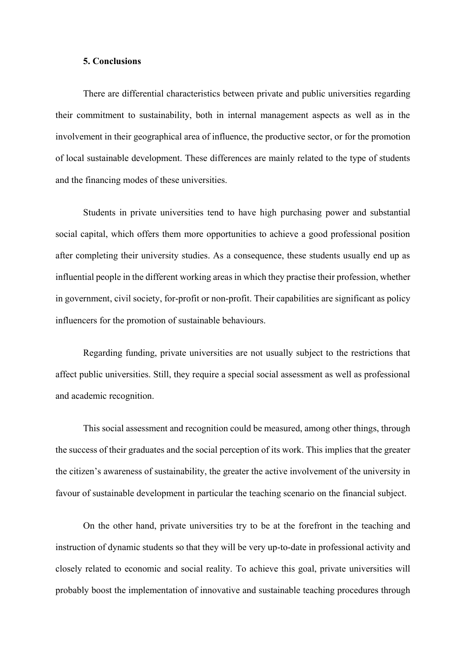### **5. Conclusions**

There are differential characteristics between private and public universities regarding their commitment to sustainability, both in internal management aspects as well as in the involvement in their geographical area of influence, the productive sector, or for the promotion of local sustainable development. These differences are mainly related to the type of students and the financing modes of these universities.

Students in private universities tend to have high purchasing power and substantial social capital, which offers them more opportunities to achieve a good professional position after completing their university studies. As a consequence, these students usually end up as influential people in the different working areas in which they practise their profession, whether in government, civil society, for-profit or non-profit. Their capabilities are significant as policy influencers for the promotion of sustainable behaviours.

Regarding funding, private universities are not usually subject to the restrictions that affect public universities. Still, they require a special social assessment as well as professional and academic recognition.

This social assessment and recognition could be measured, among other things, through the success of their graduates and the social perception of its work. This implies that the greater the citizen's awareness of sustainability, the greater the active involvement of the university in favour of sustainable development in particular the teaching scenario on the financial subject.

On the other hand, private universities try to be at the forefront in the teaching and instruction of dynamic students so that they will be very up-to-date in professional activity and closely related to economic and social reality. To achieve this goal, private universities will probably boost the implementation of innovative and sustainable teaching procedures through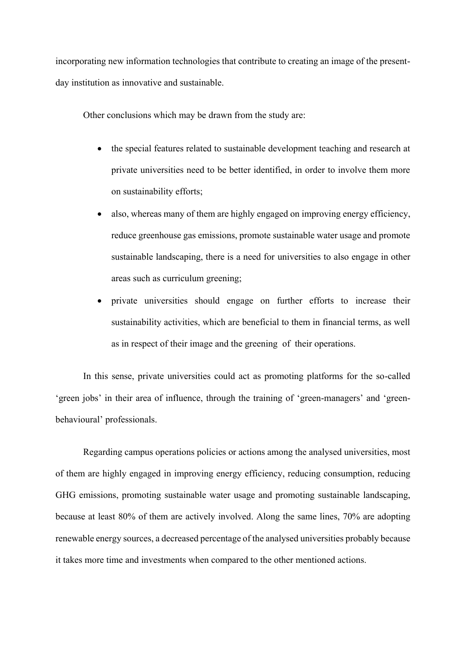incorporating new information technologies that contribute to creating an image of the presentday institution as innovative and sustainable.

Other conclusions which may be drawn from the study are:

- the special features related to sustainable development teaching and research at private universities need to be better identified, in order to involve them more on sustainability efforts;
- also, whereas many of them are highly engaged on improving energy efficiency, reduce greenhouse gas emissions, promote sustainable water usage and promote sustainable landscaping, there is a need for universities to also engage in other areas such as curriculum greening;
- private universities should engage on further efforts to increase their sustainability activities, which are beneficial to them in financial terms, as well as in respect of their image and the greening of their operations.

In this sense, private universities could act as promoting platforms for the so-called 'green jobs' in their area of influence, through the training of 'green-managers' and 'greenbehavioural' professionals.

Regarding campus operations policies or actions among the analysed universities, most of them are highly engaged in improving energy efficiency, reducing consumption, reducing GHG emissions, promoting sustainable water usage and promoting sustainable landscaping, because at least 80% of them are actively involved. Along the same lines, 70% are adopting renewable energy sources, a decreased percentage of the analysed universities probably because it takes more time and investments when compared to the other mentioned actions.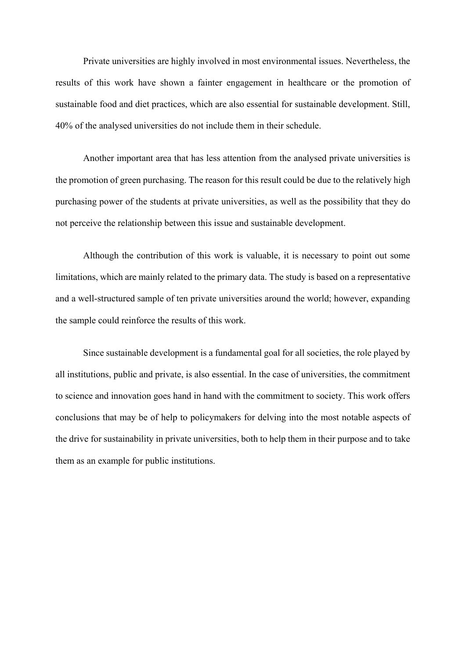Private universities are highly involved in most environmental issues. Nevertheless, the results of this work have shown a fainter engagement in healthcare or the promotion of sustainable food and diet practices, which are also essential for sustainable development. Still, 40% of the analysed universities do not include them in their schedule.

Another important area that has less attention from the analysed private universities is the promotion of green purchasing. The reason for this result could be due to the relatively high purchasing power of the students at private universities, as well as the possibility that they do not perceive the relationship between this issue and sustainable development.

Although the contribution of this work is valuable, it is necessary to point out some limitations, which are mainly related to the primary data. The study is based on a representative and a well-structured sample of ten private universities around the world; however, expanding the sample could reinforce the results of this work.

Since sustainable development is a fundamental goal for all societies, the role played by all institutions, public and private, is also essential. In the case of universities, the commitment to science and innovation goes hand in hand with the commitment to society. This work offers conclusions that may be of help to policymakers for delving into the most notable aspects of the drive for sustainability in private universities, both to help them in their purpose and to take them as an example for public institutions.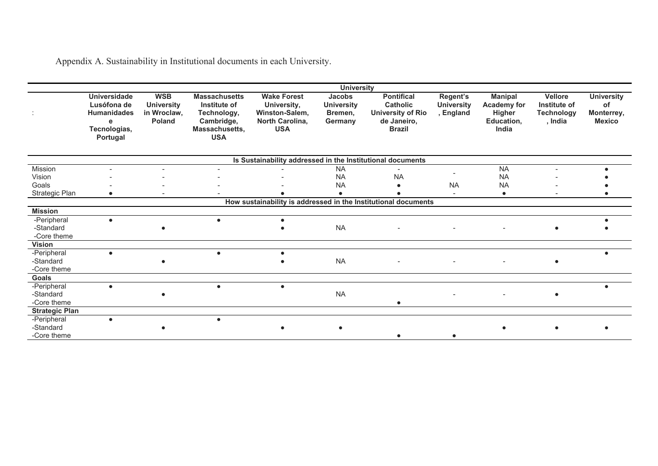Appendix A. Sustainability in Institutional documents in each University.

|                                         |                                                                                           |                                                                 |                                                                                                   |                                                                                      | <b>University</b>                                        |                                                                                                  |                                            |                                                                              |                                                                |                                                        |
|-----------------------------------------|-------------------------------------------------------------------------------------------|-----------------------------------------------------------------|---------------------------------------------------------------------------------------------------|--------------------------------------------------------------------------------------|----------------------------------------------------------|--------------------------------------------------------------------------------------------------|--------------------------------------------|------------------------------------------------------------------------------|----------------------------------------------------------------|--------------------------------------------------------|
|                                         | <b>Universidade</b><br>Lusófona de<br><b>Humanidades</b><br>е<br>Tecnologias,<br>Portugal | <b>WSB</b><br><b>University</b><br>in Wroclaw,<br><b>Poland</b> | <b>Massachusetts</b><br>Institute of<br>Technology,<br>Cambridge,<br>Massachusetts,<br><b>USA</b> | <b>Wake Forest</b><br>University,<br>Winston-Salem,<br>North Carolina,<br><b>USA</b> | <b>Jacobs</b><br><b>University</b><br>Bremen,<br>Germany | <b>Pontifical</b><br><b>Catholic</b><br><b>University of Rio</b><br>de Janeiro,<br><b>Brazil</b> | Regent's<br><b>University</b><br>, England | <b>Manipal</b><br><b>Academy for</b><br><b>Higher</b><br>Education,<br>India | <b>Vellore</b><br>Institute of<br><b>Technology</b><br>, India | <b>University</b><br>οf<br>Monterrey,<br><b>Mexico</b> |
|                                         |                                                                                           |                                                                 |                                                                                                   | Is Sustainability addressed in the Institutional documents                           |                                                          |                                                                                                  |                                            |                                                                              |                                                                |                                                        |
| Mission<br>Vision<br>Goals              |                                                                                           |                                                                 |                                                                                                   |                                                                                      | <b>NA</b><br><b>NA</b><br><b>NA</b>                      | <b>NA</b>                                                                                        | <b>NA</b>                                  | <b>NA</b><br><b>NA</b><br><b>NA</b>                                          |                                                                |                                                        |
| Strategic Plan                          | $\bullet$                                                                                 |                                                                 |                                                                                                   |                                                                                      |                                                          |                                                                                                  |                                            | $\bullet$                                                                    |                                                                |                                                        |
|                                         |                                                                                           |                                                                 |                                                                                                   |                                                                                      |                                                          | How sustainability is addressed in the Institutional documents                                   |                                            |                                                                              |                                                                |                                                        |
| <b>Mission</b>                          |                                                                                           |                                                                 |                                                                                                   |                                                                                      |                                                          |                                                                                                  |                                            |                                                                              |                                                                |                                                        |
| -Peripheral<br>-Standard<br>-Core theme | $\bullet$                                                                                 |                                                                 | $\bullet$                                                                                         |                                                                                      | <b>NA</b>                                                |                                                                                                  | $\sim$                                     | $\blacksquare$                                                               | $\bullet$                                                      |                                                        |
| <b>Vision</b>                           |                                                                                           |                                                                 |                                                                                                   |                                                                                      |                                                          |                                                                                                  |                                            |                                                                              |                                                                |                                                        |
| -Peripheral<br>-Standard<br>-Core theme | $\bullet$                                                                                 |                                                                 | $\bullet$                                                                                         | $\bullet$                                                                            | <b>NA</b>                                                |                                                                                                  |                                            |                                                                              | $\bullet$                                                      |                                                        |
| <b>Goals</b>                            |                                                                                           |                                                                 |                                                                                                   |                                                                                      |                                                          |                                                                                                  |                                            |                                                                              |                                                                |                                                        |
| -Peripheral<br>-Standard<br>-Core theme | $\bullet$                                                                                 |                                                                 |                                                                                                   | $\bullet$                                                                            | <b>NA</b>                                                |                                                                                                  |                                            |                                                                              | $\bullet$                                                      |                                                        |
| <b>Strategic Plan</b>                   |                                                                                           |                                                                 |                                                                                                   |                                                                                      |                                                          |                                                                                                  |                                            |                                                                              |                                                                |                                                        |
| -Peripheral<br>-Standard<br>-Core theme | $\bullet$                                                                                 |                                                                 | $\bullet$                                                                                         |                                                                                      |                                                          |                                                                                                  |                                            |                                                                              |                                                                |                                                        |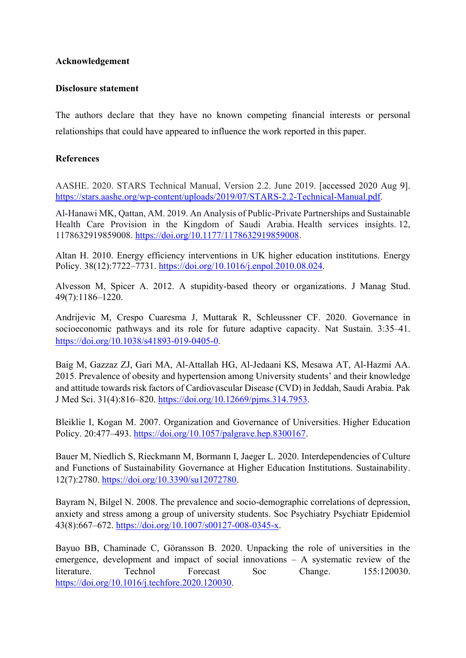# **Acknowledgement**

# **Disclosure statement**

The authors declare that they have no known competing financial interests or personal relationships that could have appeared to influence the work reported in this paper.

# **References**

AASHE. 2020. STARS Technical Manual, Version 2.2. June 2019. [accessed 2020 Aug 9]. https://stars.aashe.org/wp-content/uploads/2019/07/STARS-2.2-Technical-Manual.pdf.

Al-Hanawi MK, Qattan, AM. 2019. An Analysis of Public-Private Partnerships and Sustainable Health Care Provision in the Kingdom of Saudi Arabia. Health services insights. 12, 1178632919859008. https://doi.org/10.1177/1178632919859008.

Altan H. 2010. Energy efficiency interventions in UK higher education institutions. Energy Policy. 38(12):7722–7731. https://doi.org/10.1016/j.enpol.2010.08.024.

Alvesson M, Spicer A. 2012. A stupidity-based theory or organizations. J Manag Stud. 49(7):1186–1220.

Andrijevic M, Crespo Cuaresma J, Muttarak R, Schleussner CF. 2020. Governance in socioeconomic pathways and its role for future adaptive capacity. Nat Sustain. 3:35–41. https://doi.org/10.1038/s41893-019-0405-0.

Baig M, Gazzaz ZJ, Gari MA, Al-Attallah HG, Al-Jedaani KS, Mesawa AT, Al-Hazmi AA. 2015. Prevalence of obesity and hypertension among University students' and their knowledge and attitude towards risk factors of Cardiovascular Disease (CVD) in Jeddah, Saudi Arabia. Pak J Med Sci. 31(4):816–820. https://doi.org/10.12669/pjms.314.7953.

Bleiklie I, Kogan M. 2007. Organization and Governance of Universities. Higher Education Policy. 20:477–493. https://doi.org/10.1057/palgrave.hep.8300167.

Bauer M, Niedlich S, Rieckmann M, Bormann I, Jaeger L. 2020. Interdependencies of Culture and Functions of Sustainability Governance at Higher Education Institutions. Sustainability. 12(7):2780. https://doi.org/10.3390/su12072780.

Bayram N, Bilgel N. 2008. The prevalence and socio-demographic correlations of depression, anxiety and stress among a group of university students. Soc Psychiatry Psychiatr Epidemiol 43(8):667–672. https://doi.org/10.1007/s00127-008-0345-x.

Bayuo BB, Chaminade C, Göransson B. 2020. Unpacking the role of universities in the emergence, development and impact of social innovations – A systematic review of the literature. Technol Forecast Soc Change. 155:120030. https://doi.org/10.1016/j.techfore.2020.120030.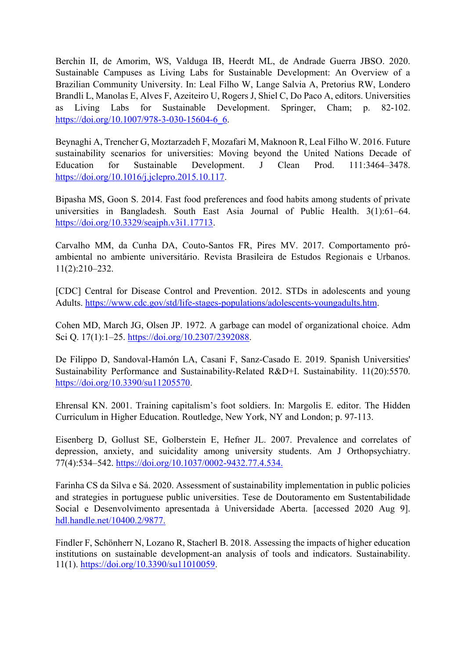Berchin II, de Amorim, WS, Valduga IB, Heerdt ML, de Andrade Guerra JBSO. 2020. Sustainable Campuses as Living Labs for Sustainable Development: An Overview of a Brazilian Community University. In: Leal Filho W, Lange Salvia A, Pretorius RW, Londero Brandli L, Manolas E, Alves F, Azeiteiro U, Rogers J, Shiel C, Do Paco A, editors. Universities as Living Labs for Sustainable Development. Springer, Cham; p. 82-102. https://doi.org/10.1007/978-3-030-15604-6\_6.

Beynaghi A, Trencher G, Moztarzadeh F, Mozafari M, Maknoon R, Leal Filho W. 2016. Future sustainability scenarios for universities: Moving beyond the United Nations Decade of Education for Sustainable Development. J Clean Prod. 111:3464–3478. https://doi.org/10.1016/j.jclepro.2015.10.117.

Bipasha MS, Goon S. 2014. Fast food preferences and food habits among students of private universities in Bangladesh. South East Asia Journal of Public Health. 3(1):61–64. https://doi.org/10.3329/seajph.v3i1.17713.

Carvalho MM, da Cunha DA, Couto-Santos FR, Pires MV. 2017. Comportamento próambiental no ambiente universitário. Revista Brasileira de Estudos Regionais e Urbanos. 11(2):210–232.

[CDC] Central for Disease Control and Prevention. 2012. STDs in adolescents and young Adults. https://www.cdc.gov/std/life-stages-populations/adolescents-youngadults.htm.

Cohen MD, March JG, Olsen JP. 1972. A garbage can model of organizational choice. Adm Sci Q. 17(1):1–25. https://doi.org/10.2307/2392088.

De Filippo D, Sandoval-Hamón LA, Casani F, Sanz-Casado E. 2019. Spanish Universities' Sustainability Performance and Sustainability-Related R&D+I. Sustainability. 11(20):5570. https://doi.org/10.3390/su11205570.

Ehrensal KN. 2001. Training capitalism's foot soldiers. In: Margolis E. editor. The Hidden Curriculum in Higher Education. Routledge, New York, NY and London; p. 97-113.

Eisenberg D, Gollust SE, Golberstein E, Hefner JL. 2007. Prevalence and correlates of depression, anxiety, and suicidality among university students. Am J Orthopsychiatry. 77(4):534–542. https://doi.org/10.1037/0002-9432.77.4.534.

Farinha CS da Silva e Sá. 2020. Assessment of sustainability implementation in public policies and strategies in portuguese public universities. Tese de Doutoramento em Sustentabilidade Social e Desenvolvimento apresentada à Universidade Aberta. [accessed 2020 Aug 9]. hdl.handle.net/10400.2/9877.

Findler F, Schönherr N, Lozano R, Stacherl B. 2018. Assessing the impacts of higher education institutions on sustainable development-an analysis of tools and indicators. Sustainability. 11(1). https://doi.org/10.3390/su11010059.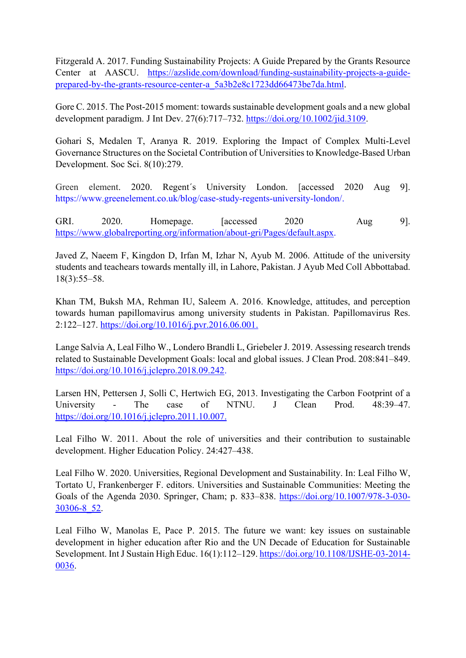Fitzgerald A. 2017. Funding Sustainability Projects: A Guide Prepared by the Grants Resource Center at AASCU. https://azslide.com/download/funding-sustainability-projects-a-guideprepared-by-the-grants-resource-center-a\_5a3b2e8c1723dd66473be7da.html.

Gore C. 2015. The Post-2015 moment: towards sustainable development goals and a new global development paradigm. J Int Dev. 27(6):717–732. https://doi.org/10.1002/jid.3109.

Gohari S, Medalen T, Aranya R. 2019. Exploring the Impact of Complex Multi-Level Governance Structures on the Societal Contribution of Universities to Knowledge-Based Urban Development. Soc Sci. 8(10):279.

Green element. 2020. Regent´s University London. [accessed 2020 Aug 9]. https://www.greenelement.co.uk/blog/case-study-regents-university-london/.

GRI. 2020. Homepage. [accessed 2020 Aug 9]. https://www.globalreporting.org/information/about-gri/Pages/default.aspx.

Javed Z, Naeem F, Kingdon D, Irfan M, Izhar N, Ayub M. 2006. Attitude of the university students and teachears towards mentally ill, in Lahore, Pakistan. J Ayub Med Coll Abbottabad. 18(3):55–58.

Khan TM, Buksh MA, Rehman IU, Saleem A. 2016. Knowledge, attitudes, and perception towards human papillomavirus among university students in Pakistan. Papillomavirus Res. 2:122–127. https://doi.org/10.1016/j.pvr.2016.06.001.

Lange Salvia A, Leal Filho W., Londero Brandli L, Griebeler J. 2019. Assessing research trends related to Sustainable Development Goals: local and global issues. J Clean Prod. 208:841–849. https://doi.org/10.1016/j.jclepro.2018.09.242.

Larsen HN, Pettersen J, Solli C, Hertwich EG, 2013. Investigating the Carbon Footprint of a University - The case of NTNU. J Clean Prod. 48:39–47. https://doi.org/10.1016/j.jclepro.2011.10.007.

Leal Filho W. 2011. About the role of universities and their contribution to sustainable development. Higher Education Policy. 24:427–438.

Leal Filho W. 2020. Universities, Regional Development and Sustainability. In: Leal Filho W, Tortato U, Frankenberger F. editors. Universities and Sustainable Communities: Meeting the Goals of the Agenda 2030. Springer, Cham; p. 833–838. https://doi.org/10.1007/978-3-030- 30306-8\_52.

Leal Filho W, Manolas E, Pace P. 2015. The future we want: key issues on sustainable development in higher education after Rio and the UN Decade of Education for Sustainable Sevelopment. Int J Sustain High Educ. 16(1):112–129. https://doi.org/10.1108/IJSHE-03-2014- 0036.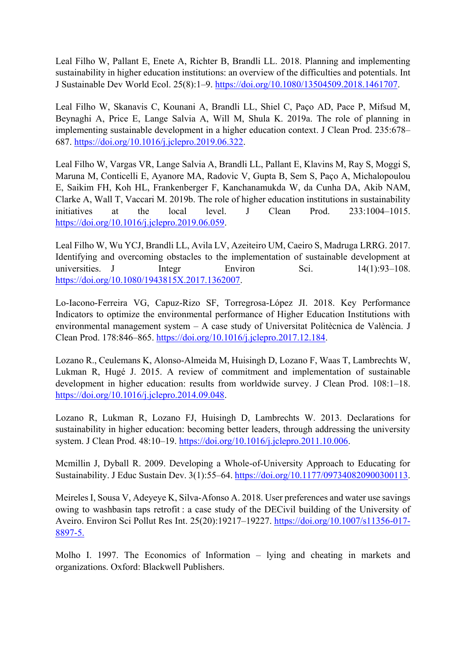Leal Filho W, Pallant E, Enete A, Richter B, Brandli LL. 2018. Planning and implementing sustainability in higher education institutions: an overview of the difficulties and potentials. Int J Sustainable Dev World Ecol. 25(8):1–9. https://doi.org/10.1080/13504509.2018.1461707.

Leal Filho W, Skanavis C, Kounani A, Brandli LL, Shiel C, Paço AD, Pace P, Mifsud M, Beynaghi A, Price E, Lange Salvia A, Will M, Shula K. 2019a. The role of planning in implementing sustainable development in a higher education context. J Clean Prod. 235:678– 687. https://doi.org/10.1016/j.jclepro.2019.06.322.

Leal Filho W, Vargas VR, Lange Salvia A, Brandli LL, Pallant E, Klavins M, Ray S, Moggi S, Maruna M, Conticelli E, Ayanore MA, Radovic V, Gupta B, Sem S, Paço A, Michalopoulou E, Saikim FH, Koh HL, Frankenberger F, Kanchanamukda W, da Cunha DA, Akib NAM, Clarke A, Wall T, Vaccari M. 2019b. The role of higher education institutions in sustainability initiatives at the local level. J Clean Prod. 233:1004–1015. https://doi.org/10.1016/j.jclepro.2019.06.059.

Leal Filho W, Wu YCJ, Brandli LL, Avila LV, Azeiteiro UM, Caeiro S, Madruga LRRG. 2017. Identifying and overcoming obstacles to the implementation of sustainable development at universities. J Integr Environ Sci. 14(1):93-108. https://doi.org/10.1080/1943815X.2017.1362007.

Lo-Iacono-Ferreira VG, Capuz-Rizo SF, Torregrosa-López JI. 2018. Key Performance Indicators to optimize the environmental performance of Higher Education Institutions with environmental management system – A case study of Universitat Politècnica de València. J Clean Prod. 178:846–865. https://doi.org/10.1016/j.jclepro.2017.12.184.

Lozano R., Ceulemans K, Alonso-Almeida M, Huisingh D, Lozano F, Waas T, Lambrechts W, Lukman R, Hugé J. 2015. A review of commitment and implementation of sustainable development in higher education: results from worldwide survey. J Clean Prod. 108:1–18. https://doi.org/10.1016/j.jclepro.2014.09.048.

Lozano R, Lukman R, Lozano FJ, Huisingh D, Lambrechts W. 2013. Declarations for sustainability in higher education: becoming better leaders, through addressing the university system. J Clean Prod. 48:10–19. https://doi.org/10.1016/j.jclepro.2011.10.006.

Mcmillin J, Dyball R. 2009. Developing a Whole-of-University Approach to Educating for Sustainability. J Educ Sustain Dev. 3(1):55–64. https://doi.org/10.1177/097340820900300113.

Meireles I, Sousa V, Adeyeye K, Silva-Afonso A. 2018. User preferences and water use savings owing to washbasin taps retrofit : a case study of the DECivil building of the University of Aveiro. Environ Sci Pollut Res Int. 25(20):19217–19227. https://doi.org/10.1007/s11356-017- 8897-5.

Molho I. 1997. The Economics of Information – lying and cheating in markets and organizations. Oxford: Blackwell Publishers.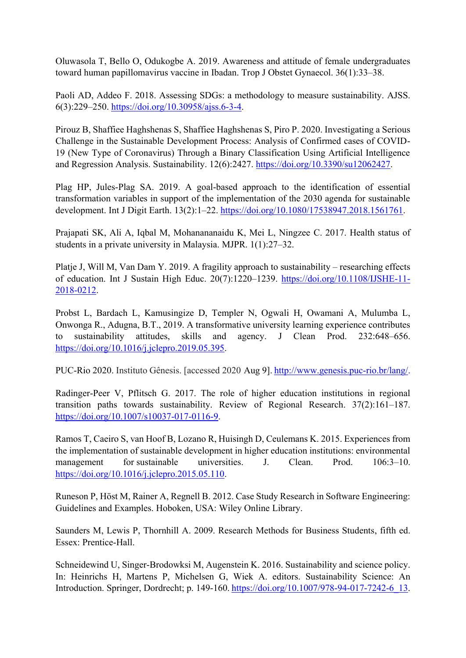Oluwasola T, Bello O, Odukogbe A. 2019. Awareness and attitude of female undergraduates toward human papillomavirus vaccine in Ibadan. Trop J Obstet Gynaecol. 36(1):33–38.

Paoli AD, Addeo F. 2018. Assessing SDGs: a methodology to measure sustainability. AJSS. 6(3):229–250. https://doi.org/10.30958/ajss.6-3-4.

Pirouz B, Shaffiee Haghshenas S, Shaffiee Haghshenas S, Piro P. 2020. Investigating a Serious Challenge in the Sustainable Development Process: Analysis of Confirmed cases of COVID-19 (New Type of Coronavirus) Through a Binary Classification Using Artificial Intelligence and Regression Analysis. Sustainability. 12(6):2427. https://doi.org/10.3390/su12062427.

Plag HP, Jules-Plag SA. 2019. A goal-based approach to the identification of essential transformation variables in support of the implementation of the 2030 agenda for sustainable development. Int J Digit Earth. 13(2):1–22. https://doi.org/10.1080/17538947.2018.1561761.

Prajapati SK, Ali A, Iqbal M, Mohanananaidu K, Mei L, Ningzee C. 2017. Health status of students in a private university in Malaysia. MJPR. 1(1):27–32.

Platje J, Will M, Van Dam Y. 2019. A fragility approach to sustainability – researching effects of education. Int J Sustain High Educ. 20(7):1220–1239. https://doi.org/10.1108/IJSHE-11- 2018-0212.

Probst L, Bardach L, Kamusingize D, Templer N, Ogwali H, Owamani A, Mulumba L, Onwonga R., Adugna, B.T., 2019. A transformative university learning experience contributes to sustainability attitudes, skills and agency. J Clean Prod. 232:648–656. https://doi.org/10.1016/j.jclepro.2019.05.395.

PUC-Rio 2020. Instituto Gênesis. [accessed 2020 Aug 9]. http://www.genesis.puc-rio.br/lang/.

Radinger-Peer V, Pflitsch G. 2017. The role of higher education institutions in regional transition paths towards sustainability. Review of Regional Research. 37(2):161–187. https://doi.org/10.1007/s10037-017-0116-9.

Ramos T, Caeiro S, van Hoof B, Lozano R, Huisingh D, Ceulemans K. 2015. Experiences from the implementation of sustainable development in higher education institutions: environmental management for sustainable universities. J. Clean. Prod. 106:3–10. https://doi.org/10.1016/j.jclepro.2015.05.110.

Runeson P, Höst M, Rainer A, Regnell B. 2012. Case Study Research in Software Engineering: Guidelines and Examples. Hoboken, USA: Wiley Online Library.

Saunders M, Lewis P, Thornhill A. 2009. Research Methods for Business Students, fifth ed. Essex: Prentice-Hall.

Schneidewind U, Singer-Brodowksi M, Augenstein K. 2016. Sustainability and science policy. In: Heinrichs H, Martens P, Michelsen G, Wiek A. editors. Sustainability Science: An Introduction. Springer, Dordrecht; p. 149-160. https://doi.org/10.1007/978-94-017-7242-6\_13.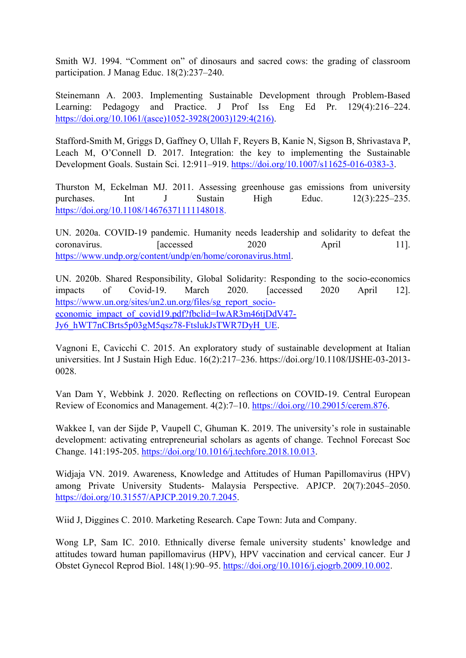Smith WJ. 1994. "Comment on" of dinosaurs and sacred cows: the grading of classroom participation. J Manag Educ. 18(2):237–240.

Steinemann A. 2003. Implementing Sustainable Development through Problem-Based Learning: Pedagogy and Practice. J Prof Iss Eng Ed Pr. 129(4):216–224. https://doi.org/10.1061/(asce)1052-3928(2003)129:4(216).

Stafford-Smith M, Griggs D, Gaffney O, Ullah F, Reyers B, Kanie N, Sigson B, Shrivastava P, Leach M, O'Connell D. 2017. Integration: the key to implementing the Sustainable Development Goals. Sustain Sci. 12:911–919. https://doi.org/10.1007/s11625-016-0383-3.

Thurston M, Eckelman MJ. 2011. Assessing greenhouse gas emissions from university purchases. Int J Sustain High Educ. 12(3):225–235. https://doi.org/10.1108/14676371111148018.

UN. 2020a. COVID-19 pandemic. Humanity needs leadership and solidarity to defeat the coronavirus. [accessed 2020 April 11]. https://www.undp.org/content/undp/en/home/coronavirus.html.

UN. 2020b. Shared Responsibility, Global Solidarity: Responding to the socio-economics impacts of Covid-19. March 2020. [accessed 2020 April 12]. https://www.un.org/sites/un2.un.org/files/sg\_report\_socioeconomic\_impact\_of\_covid19.pdf?fbclid=IwAR3m46tjDdV47- Jy6\_hWT7nCBrts5p03gM5qsz78-FtslukJsTWR7DyH\_UE.

Vagnoni E, Cavicchi C. 2015. An exploratory study of sustainable development at Italian universities. Int J Sustain High Educ. 16(2):217–236. https://doi.org/10.1108/IJSHE-03-2013- 0028.

Van Dam Y, Webbink J. 2020. Reflecting on reflections on COVID-19. Central European Review of Economics and Management. 4(2):7–10. https://doi.org//10.29015/cerem.876.

Wakkee I, van der Sijde P, Vaupell C, Ghuman K. 2019. The university's role in sustainable development: activating entrepreneurial scholars as agents of change. Technol Forecast Soc Change. 141:195-205. https://doi.org/10.1016/j.techfore.2018.10.013.

Widjaja VN. 2019. Awareness, Knowledge and Attitudes of Human Papillomavirus (HPV) among Private University Students- Malaysia Perspective. APJCP. 20(7):2045–2050. https://doi.org/10.31557/APJCP.2019.20.7.2045.

Wiid J, Diggines C. 2010. Marketing Research. Cape Town: Juta and Company.

Wong LP, Sam IC. 2010. Ethnically diverse female university students' knowledge and attitudes toward human papillomavirus (HPV), HPV vaccination and cervical cancer. Eur J Obstet Gynecol Reprod Biol. 148(1):90–95. https://doi.org/10.1016/j.ejogrb.2009.10.002.